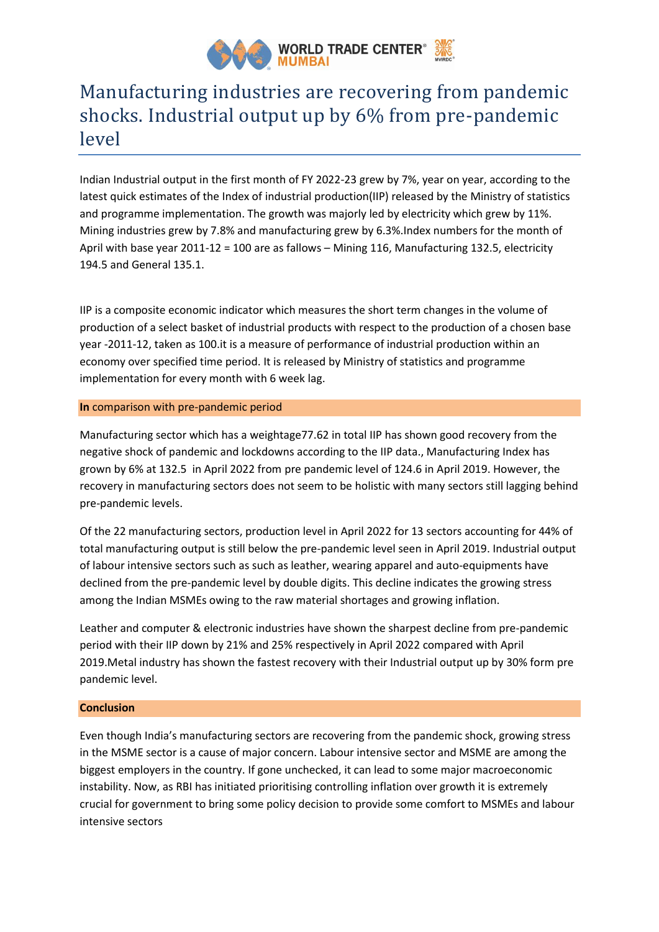

# Manufacturing industries are recovering from pandemic shocks. Industrial output up by 6% from pre-pandemic level

Indian Industrial output in the first month of FY 2022-23 grew by 7%, year on year, according to the latest quick estimates of the Index of industrial production(IIP) released by the Ministry of statistics and programme implementation. The growth was majorly led by electricity which grew by 11%. Mining industries grew by 7.8% and manufacturing grew by 6.3%.Index numbers for the month of April with base year 2011-12 = 100 are as fallows – Mining 116, Manufacturing 132.5, electricity 194.5 and General 135.1.

IIP is a composite economic indicator which measures the short term changes in the volume of production of a select basket of industrial products with respect to the production of a chosen base year -2011-12, taken as 100.it is a measure of performance of industrial production within an economy over specified time period. It is released by Ministry of statistics and programme implementation for every month with 6 week lag.

## **In** comparison with pre-pandemic period

Manufacturing sector which has a weightage77.62 in total IIP has shown good recovery from the negative shock of pandemic and lockdowns according to the IIP data., Manufacturing Index has grown by 6% at 132.5 in April 2022 from pre pandemic level of 124.6 in April 2019. However, the recovery in manufacturing sectors does not seem to be holistic with many sectors still lagging behind pre-pandemic levels.

Of the 22 manufacturing sectors, production level in April 2022 for 13 sectors accounting for 44% of total manufacturing output is still below the pre-pandemic level seen in April 2019. Industrial output of labour intensive sectors such as such as leather, wearing apparel and auto-equipments have declined from the pre-pandemic level by double digits. This decline indicates the growing stress among the Indian MSMEs owing to the raw material shortages and growing inflation.

Leather and computer & electronic industries have shown the sharpest decline from pre-pandemic period with their IIP down by 21% and 25% respectively in April 2022 compared with April 2019.Metal industry has shown the fastest recovery with their Industrial output up by 30% form pre pandemic level.

# **Conclusion**

Even though India's manufacturing sectors are recovering from the pandemic shock, growing stress in the MSME sector is a cause of major concern. Labour intensive sector and MSME are among the biggest employers in the country. If gone unchecked, it can lead to some major macroeconomic instability. Now, as RBI has initiated prioritising controlling inflation over growth it is extremely crucial for government to bring some policy decision to provide some comfort to MSMEs and labour intensive sectors